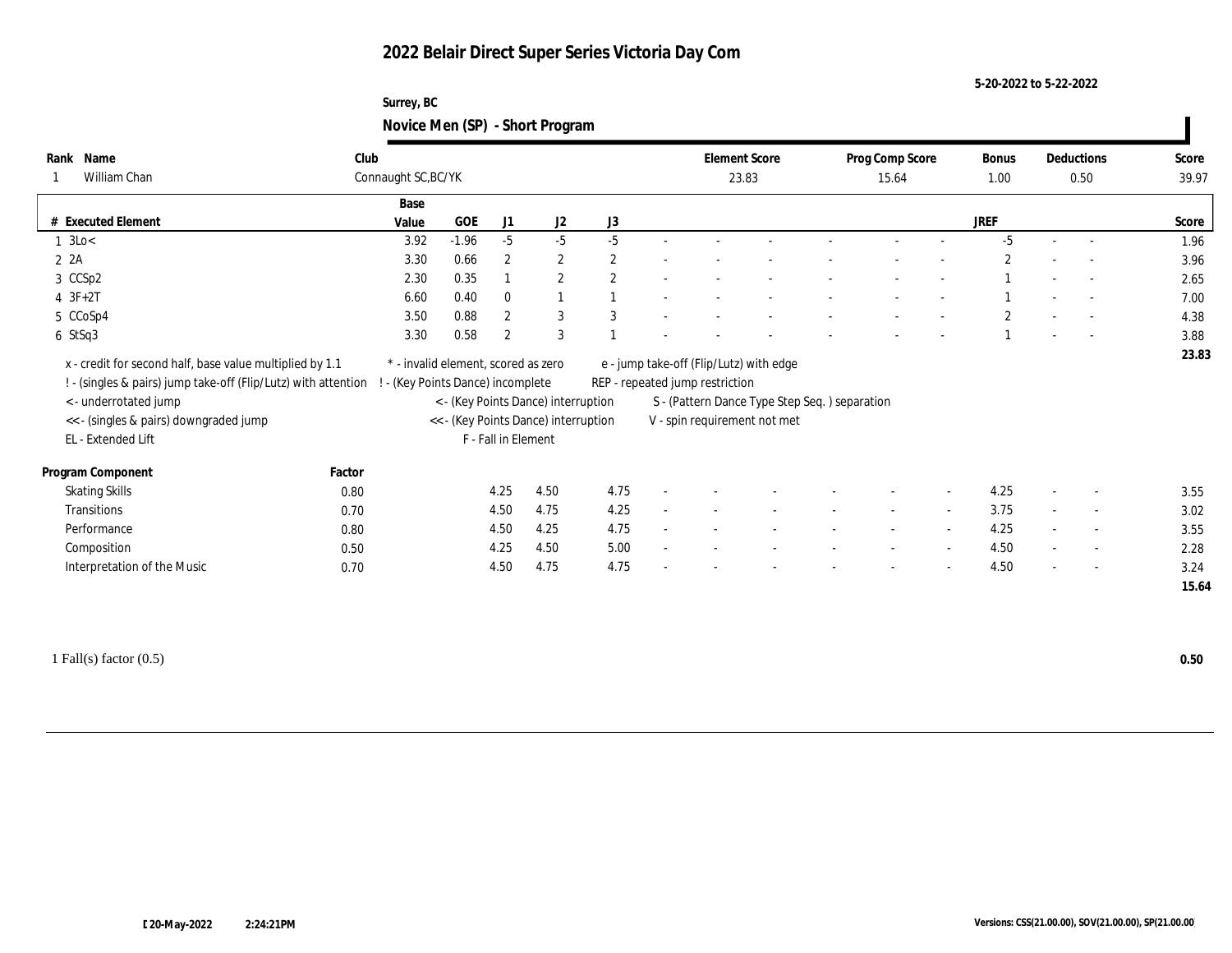# **2022 Belair Direct Super Series Victoria Day Com**

### **Surrey, BC Novice Men (SP) - Short Program**

| Rank Name                                                                                                                                           | Club   |                                                                        |                     |                                      |              | <b>Element Score</b>                                                                                                        |                              | Prog Comp Score          |                          | <b>Bonus</b>   |                          | Deductions               | Score |
|-----------------------------------------------------------------------------------------------------------------------------------------------------|--------|------------------------------------------------------------------------|---------------------|--------------------------------------|--------------|-----------------------------------------------------------------------------------------------------------------------------|------------------------------|--------------------------|--------------------------|----------------|--------------------------|--------------------------|-------|
| William Chan                                                                                                                                        |        | Connaught SC, BC/YK                                                    |                     |                                      |              | 23.83                                                                                                                       |                              | 15.64                    |                          | 1.00           |                          | 0.50                     | 39.97 |
|                                                                                                                                                     |        | Base                                                                   |                     |                                      |              |                                                                                                                             |                              |                          |                          |                |                          |                          |       |
| # Executed Element                                                                                                                                  |        | $GOE$<br>Value                                                         | J1                  | J2                                   | J3           |                                                                                                                             |                              |                          |                          | <b>JREF</b>    |                          |                          | Score |
| $1 \text{ } 3 \text{Lo} <$                                                                                                                          |        | $-1.96$<br>3.92                                                        | $-5$                | $-5$                                 | $-5$         |                                                                                                                             |                              |                          |                          | $-5$           |                          |                          | 1.96  |
| 2 2A                                                                                                                                                |        | 3.30<br>0.66                                                           | $\mathbf{2}$        | $\mathbf{2}$                         | $\mathbf{2}$ |                                                                                                                             |                              |                          |                          | $\overline{c}$ |                          |                          | 3.96  |
| 3 CCSp2                                                                                                                                             |        | 0.35<br>2.30                                                           |                     | $\mathbf{2}$                         | 2            |                                                                                                                             |                              |                          |                          |                |                          | $\sim$                   | 2.65  |
| $4 3F+2T$                                                                                                                                           |        | 0.40<br>6.60                                                           | $\mathbf{0}$        | $\mathbf{1}$                         |              |                                                                                                                             |                              |                          |                          |                |                          |                          | 7.00  |
| 5 CCoSp4                                                                                                                                            |        | 0.88<br>3.50                                                           | $\mathbf{2}$        | 3                                    | 3            |                                                                                                                             |                              |                          |                          | $\overline{2}$ |                          | $\overline{\phantom{a}}$ | 4.38  |
| $6$ StSq3                                                                                                                                           |        | 0.58<br>3.30                                                           | $\boldsymbol{2}$    | 3                                    |              |                                                                                                                             |                              |                          |                          |                |                          |                          | 3.88  |
| x - credit for second half, base value multiplied by 1.1<br>! - (singles & pairs) jump take-off (Flip/Lutz) with attention<br>< - underrotated jump |        | * - invalid element, scored as zero<br>- (Key Points Dance) incomplete |                     | < - (Key Points Dance) interruption  |              | e - jump take-off (Flip/Lutz) with edge<br>REP - repeated jump restriction<br>S - (Pattern Dance Type Step Seq.) separation |                              |                          |                          |                |                          |                          | 23.83 |
| << - (singles & pairs) downgraded jump<br>EL - Extended Lift                                                                                        |        |                                                                        | F - Fall in Element | << - (Key Points Dance) interruption |              |                                                                                                                             | V - spin requirement not met |                          |                          |                |                          |                          |       |
| Program Component                                                                                                                                   | Factor |                                                                        |                     |                                      |              |                                                                                                                             |                              |                          |                          |                |                          |                          |       |
| <b>Skating Skills</b>                                                                                                                               | 0.80   |                                                                        | 4.25                | 4.50                                 | 4.75         |                                                                                                                             |                              |                          |                          | 4.25           |                          | $\overline{\phantom{a}}$ | 3.55  |
| Transitions                                                                                                                                         | 0.70   |                                                                        | 4.50                | 4.75                                 | 4.25         |                                                                                                                             |                              | $\overline{\phantom{a}}$ | $\sim$                   | 3.75           | $\overline{\phantom{a}}$ | $\overline{\phantom{a}}$ | 3.02  |
| Performance                                                                                                                                         | 0.80   |                                                                        | 4.50                | 4.25                                 | 4.75         |                                                                                                                             |                              |                          | $\overline{\phantom{a}}$ | 4.25           |                          | $\overline{\phantom{a}}$ | 3.55  |
| Composition                                                                                                                                         | 0.50   |                                                                        | 4.25                | 4.50                                 | 5.00         |                                                                                                                             |                              | $\overline{\phantom{a}}$ | $\sim$                   | 4.50           | $\sim$                   | $\sim$                   | 2.28  |
| Interpretation of the Music                                                                                                                         | 0.70   |                                                                        | 4.50                | 4.75                                 | 4.75         |                                                                                                                             |                              |                          |                          | 4.50           |                          | $\overline{\phantom{a}}$ | 3.24  |

1 Fall(s) factor (0.5) **0.50**

 $\blacksquare$ 

**5-20-2022 to 5-22-2022**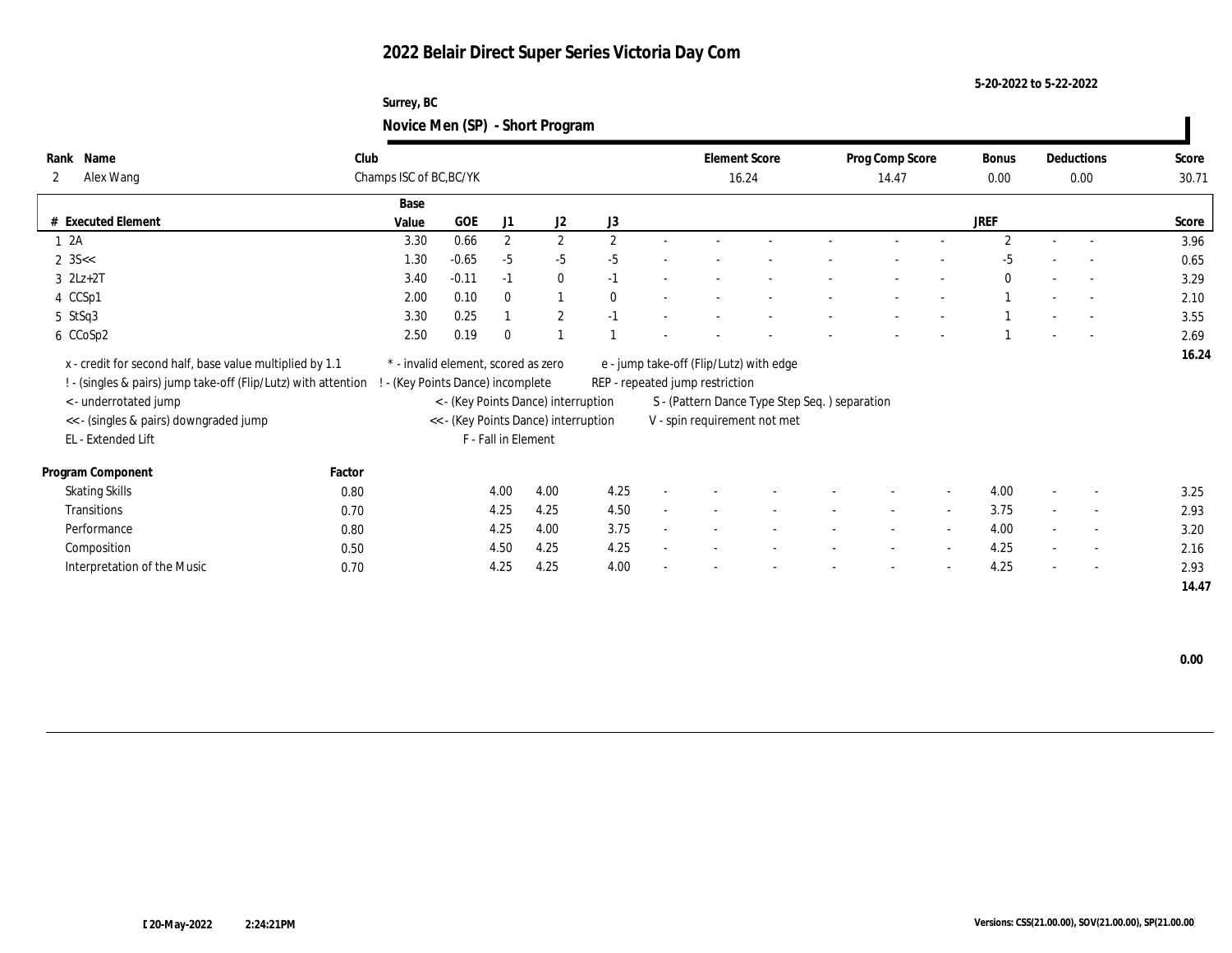# **2022 Belair Direct Super Series Victoria Day Com**

### **Surrey, BC Novice Men (SP) - Short Program**

| Name<br>Rank                                                   | Club   |                                     |         |                     |                                      |                | <b>Element Score</b>            |                                               | Prog Comp Score |                          | <b>Bonus</b>   | Deductions               | Score |
|----------------------------------------------------------------|--------|-------------------------------------|---------|---------------------|--------------------------------------|----------------|---------------------------------|-----------------------------------------------|-----------------|--------------------------|----------------|--------------------------|-------|
| Alex Wang<br>2                                                 |        | Champs ISC of BC, BC/YK             |         |                     |                                      |                |                                 | 16.24                                         | 14.47           |                          | $0.00\,$       | 0.00                     | 30.71 |
|                                                                |        | Base                                |         |                     |                                      |                |                                 |                                               |                 |                          |                |                          |       |
| <b>Executed Element</b>                                        |        | Value                               | GOE     | J1                  | J2                                   | J3             |                                 |                                               |                 |                          | <b>JREF</b>    |                          | Score |
| 1 2A                                                           |        | 3.30                                | 0.66    | $\overline{2}$      | $\mathbf{2}$                         | $\overline{2}$ |                                 |                                               |                 |                          | $\mathfrak{D}$ |                          | 3.96  |
| $2 \, 35 <$                                                    |        | 1.30                                | $-0.65$ | $-5$                | $-5$                                 | $-5$           |                                 |                                               |                 |                          | $-5$           |                          | 0.65  |
| $3$ $2Lz+2T$                                                   |        | 3.40                                | $-0.11$ | $-1$                | $\bf{0}$                             | $-1$           |                                 |                                               |                 |                          | $\bf{0}$       |                          | 3.29  |
| 4 CCSp1                                                        |        | 2.00                                | 0.10    | $\mathbf{0}$        | $\mathbf{1}$                         | $\mathbf{0}$   |                                 |                                               |                 |                          |                | $\overline{a}$           | 2.10  |
| 5 StSq3                                                        |        | 3.30                                | 0.25    |                     | $\mathbf{2}$                         | $-1$           |                                 |                                               |                 |                          |                |                          | 3.55  |
| 6 CCoSp2                                                       |        | 2.50                                | 0.19    | $\mathbf{0}$        |                                      |                |                                 |                                               |                 |                          |                |                          | 2.69  |
| x - credit for second half, base value multiplied by 1.1       |        | * - invalid element, scored as zero |         |                     |                                      |                |                                 | e - jump take-off (Flip/Lutz) with edge       |                 |                          |                |                          | 16.24 |
| ! - (singles & pairs) jump take-off (Flip/Lutz) with attention |        | ! - (Key Points Dance) incomplete   |         |                     |                                      |                | REP - repeated jump restriction |                                               |                 |                          |                |                          |       |
| <- underrotated jump                                           |        |                                     |         |                     | < - (Key Points Dance) interruption  |                |                                 | S - (Pattern Dance Type Step Seq.) separation |                 |                          |                |                          |       |
| << - (singles & pairs) downgraded jump                         |        |                                     |         |                     | << - (Key Points Dance) interruption |                |                                 | V - spin requirement not met                  |                 |                          |                |                          |       |
| EL - Extended Lift                                             |        |                                     |         | F - Fall in Element |                                      |                |                                 |                                               |                 |                          |                |                          |       |
|                                                                |        |                                     |         |                     |                                      |                |                                 |                                               |                 |                          |                |                          |       |
| Program Component                                              | Factor |                                     |         |                     |                                      |                |                                 |                                               |                 |                          |                |                          |       |
| <b>Skating Skills</b>                                          | 0.80   |                                     |         | 4.00                | 4.00                                 | 4.25           |                                 |                                               |                 | $\overline{\phantom{a}}$ | 4.00           | $\overline{\phantom{a}}$ | 3.25  |
| Transitions                                                    | 0.70   |                                     |         | 4.25                | 4.25                                 | 4.50           |                                 |                                               |                 |                          | 3.75           | $\sim$                   | 2.93  |
| Performance                                                    | 0.80   |                                     |         | 4.25                | 4.00                                 | 3.75           |                                 |                                               |                 | $\overline{\phantom{a}}$ | 4.00           | $\overline{\phantom{a}}$ | 3.20  |
| Composition                                                    | 0.50   |                                     |         | 4.50                | 4.25                                 | 4.25           |                                 |                                               |                 |                          | 4.25           | $\sim$                   | 2.16  |
| Interpretation of the Music                                    | 0.70   |                                     |         | 4.25                | 4.25                                 | 4.00           |                                 |                                               |                 |                          | 4.25           | $\sim$                   | 2.93  |
|                                                                |        |                                     |         |                     |                                      |                |                                 |                                               |                 |                          |                |                          | 14.47 |
|                                                                |        |                                     |         |                     |                                      |                |                                 |                                               |                 |                          |                |                          |       |

 **0.00**

 $\blacksquare$ 

**5-20-2022 to 5-22-2022**